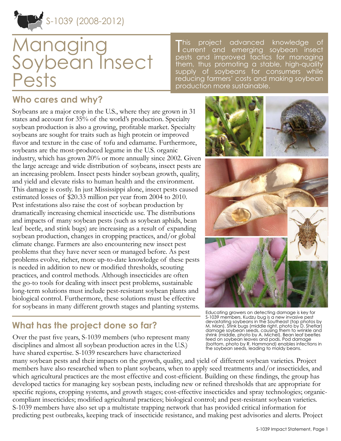

# Managing Soybean Insect Pests

**This** project advanced knowledge of current and emerging soybean insect pests and improved tactics for managing them, thus promoting a stable, high-quality supply of soybeans for consumers while reducing farmers' costs and making soybean production more sustainable.

### **Who cares and why?**

Soybeans are a major crop in the U.S., where they are grown in 31 states and account for 35% of the world's production. Specialty soybean production is also a growing, profitable market. Specialty soybeans are sought for traits such as high protein or improved flavor and texture in the case of tofu and edamame. Furthermore, soybeans are the most-produced legume in the U.S. organic industry, which has grown 20% or more annually since 2002. Given the large acreage and wide distribution of soybeans, insect pests are an increasing problem. Insect pests hinder soybean growth, quality, and yield and elevate risks to human health and the environment. This damage is costly. In just Mississippi alone, insect pests caused estimated losses of \$20.33 million per year from 2004 to 2010. Pest infestations also raise the cost of soybean production by dramatically increasing chemical insecticide use. The distributions and impacts of many soybean pests (such as soybean aphids, bean leaf beetle, and stink bugs) are increasing as a result of expanding soybean production, changes in cropping practices, and/or global climate change. Farmers are also encountering new insect pest problems that they have never seen or managed before. As pest problems evolve, richer, more up-to-date knowledge of these pests is needed in addition to new or modified thresholds, scouting practices, and control methods. Although insecticides are often the go-to tools for dealing with insect pest problems, sustainable long-term solutions must include pest-resistant soybean plants and biological control. Furthermore, these solutions must be effective for soybeans in many different growth stages and planting systems.

# **What has the project done so far?**

Over the past five years, S-1039 members (who represent many disciplines and almost all soybean production acres in the U.S.) have shared expertise. S-1039 researchers have characterized

many soybean pests and their impacts on the growth, quality, and yield of different soybean varieties. Project members have also researched when to plant soybeans, when to apply seed treatments and/or insecticides, and which agricultural practices are the most effective and cost-efficient. Building on these findings, the group has developed tactics for managing key soybean pests, including new or refined thresholds that are appropriate for specific regions, cropping systems, and growth stages; cost-effective insecticides and spray technologies; organiccompliant insecticides; modified agricultural practices; biological control; and pest-resistant soybean varieties. S-1039 members have also set up a multistate trapping network that has provided critical information for predicting pest outbreaks, keeping track of insecticide resistance, and making pest advisories and alerts. Project



Educating growers on detecting damage is key for S-1039 members. Kudzu bug is a new invasive pest devastating soybeans in the Southeast (top photos by M. Mian). Stink bugs (middle right, photo by D. Shetlar) damage soybean seeds, causing them to wrinkle and shrink (middle, photo by A. Michel). Bean leaf beetles feed on soybean leaves and pods. Pod damage (bottom, photo by R. Hammond) enables infections in the soybean seeds, leading to moldy beans.